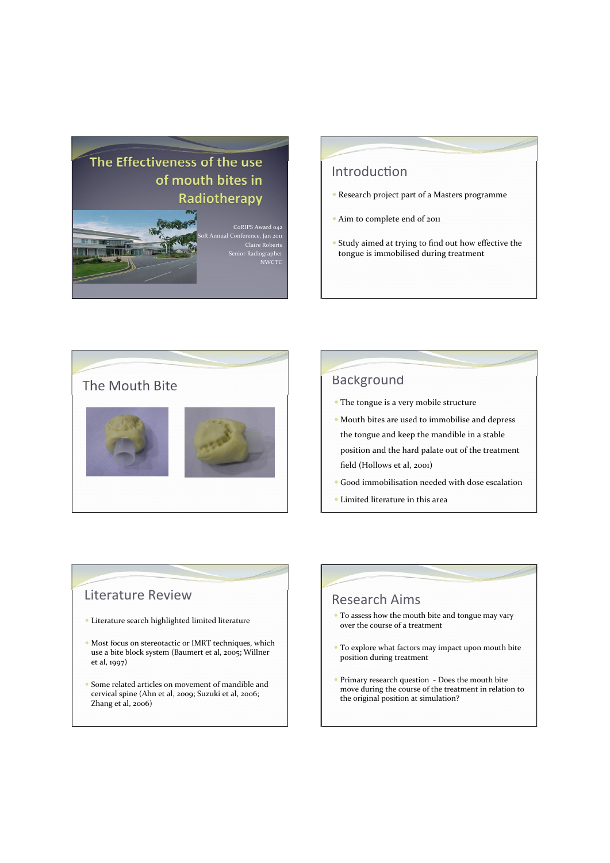# The Effectiveness of the use of mouth bites in Radiotherapy



CoRIPS Award 042 .<br>ference, Jan 2011<br>Claire Roberts or Radiographer<br>NWCTG

### Introduction

- · Research project part of a Masters programme
- · Aim to complete end of 2011
- Study aimed at trying to find out how effective the tongue is immobilised during treatment



## **Background**

- The tongue is a very mobile structure
- · Mouth bites are used to immobilise and depress the tongue and keep the mandible in a stable position and the hard palate out of the treatment field (Hollows et al, 2001)
- · Good immobilisation needed with dose escalation
- · Limited literature in this area

### **Literature Review**

- · Literature search highlighted limited literature
- · Most focus on stereotactic or IMRT techniques, which use a bite block system (Baumert et al, 2005; Willner et al, 1997)
- Some related articles on movement of mandible and cervical spine (Ahn et al, 2009; Suzuki et al, 2006; Zhang et al, 2006)

### **Research Aims**

- To assess how the mouth bite and tongue may vary over the course of a treatment
- To explore what factors may impact upon mouth bite position during treatment
- Primary research question Does the mouth bite move during the course of the treatment in relation to the original position at simulation?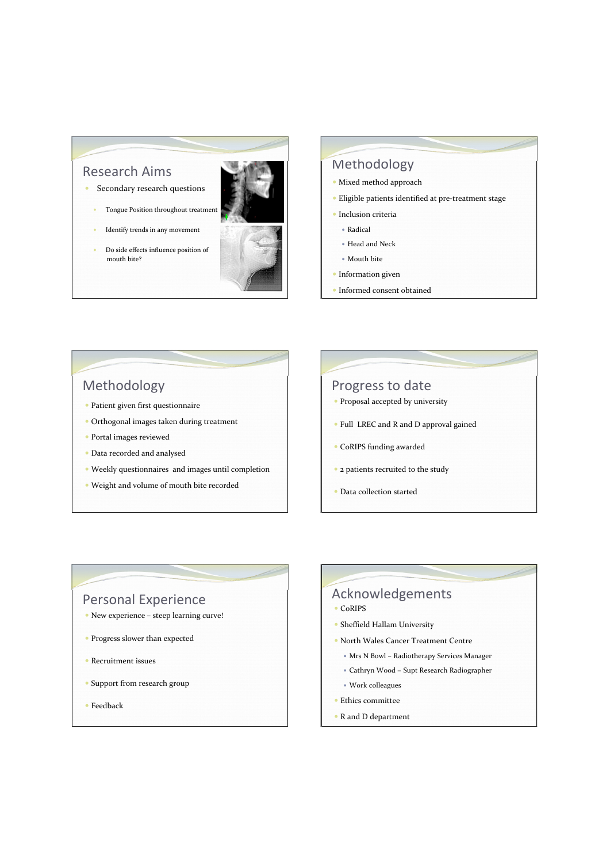### **Research Aims**

- Secondary research questions
	- Tongue Position throughout treatment
	- Identify trends in any movement
- Do side effects influence position of mouth bite?



### Methodology

- · Mixed method approach
- · Eligible patients identified at pre-treatment stage
- $\bullet$  Inclusion criteria
- Radical
- Head and Neck
- Mouth bite
- $\bullet$  Information given
- Informed consent obtained

### Methodology

- · Patient given first questionnaire
- Orthogonal images taken during treatment
- · Portal images reviewed
- Data recorded and analysed
- Weekly questionnaires and images until completion
- · Weight and volume of mouth bite recorded

### Progress to date

- · Proposal accepted by university
- Full LREC and R and D approval gained
- CoRIPS funding awarded
- 2 patients recruited to the study
- · Data collection started

### **Personal Experience**

- New experience steep learning curve!
- Progress slower than expected
- $\bullet$  Recruitment issues
- Support from research group
- $\bullet$  Feedback

### Acknowledgements • CoRIPS

- · Sheffield Hallam University
- North Wales Cancer Treatment Centre
	- · Mrs N Bowl Radiotherapy Services Manager
	- Cathryn Wood Supt Research Radiographer
	- Work colleagues
- $\bullet$  Ethics committee
- R and D department